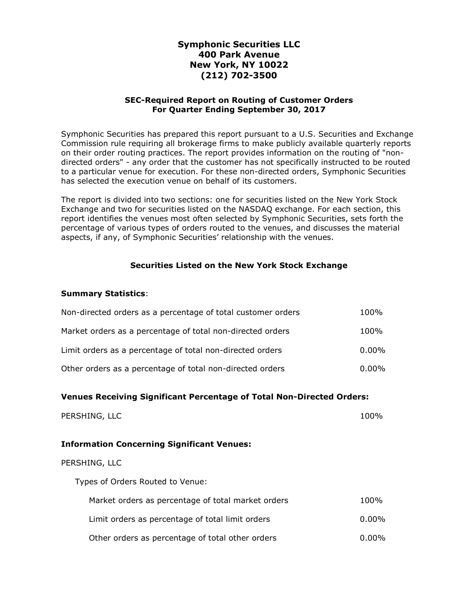# Symphonic Securities LLC 400 Park Avenue New York, NY 10022 (212) 702-3500

### SEC-Required Report on Routing of Customer Orders For Quarter Ending September 30, 2017

Symphonic Securities has prepared this report pursuant to a U.S. Securities and Exchange Commission rule requiring all brokerage firms to make publicly available quarterly reports on their order routing practices. The report provides information on the routing of "nondirected orders" - any order that the customer has not specifically instructed to be routed to a particular venue for execution. For these non-directed orders, Symphonic Securities has selected the execution venue on behalf of its customers.

The report is divided into two sections: one for securities listed on the New York Stock Exchange and two for securities listed on the NASDAQ exchange. For each section, this report identifies the venues most often selected by Symphonic Securities, sets forth the percentage of various types of orders routed to the venues, and discusses the material aspects, if any, of Symphonic Securities' relationship with the venues.

### Securities Listed on the New York Stock Exchange

#### Summary Statistics:

| Non-directed orders as a percentage of total customer orders | 100%     |
|--------------------------------------------------------------|----------|
| Market orders as a percentage of total non-directed orders   | 100%     |
| Limit orders as a percentage of total non-directed orders    | $0.00\%$ |
| Other orders as a percentage of total non-directed orders    | $0.00\%$ |

### Venues Receiving Significant Percentage of Total Non-Directed Orders:

| PERSHING, LLC | 100% |
|---------------|------|
|               |      |

#### Information Concerning Significant Venues:

#### PERSHING, LLC

Types of Orders Routed to Venue:

| Market orders as percentage of total market orders | 100%     |
|----------------------------------------------------|----------|
| Limit orders as percentage of total limit orders   | 0.00%    |
| Other orders as percentage of total other orders   | $0.00\%$ |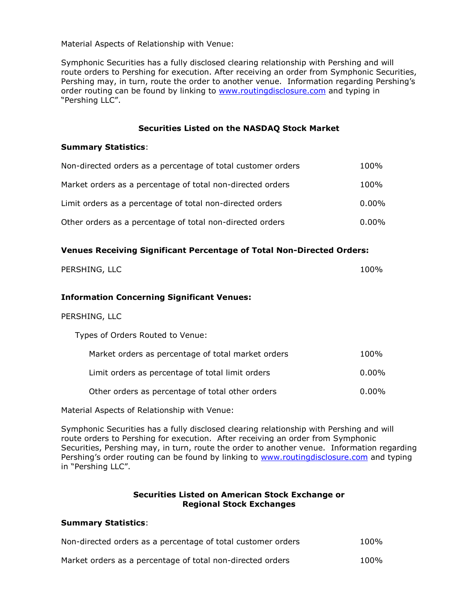Material Aspects of Relationship with Venue:

Symphonic Securities has a fully disclosed clearing relationship with Pershing and will route orders to Pershing for execution. After receiving an order from Symphonic Securities, Pershing may, in turn, route the order to another venue. Information regarding Pershing's order routing can be found by linking to www.routingdisclosure.com and typing in "Pershing LLC".

#### Securities Listed on the NASDAQ Stock Market

#### Summary Statistics:

| Non-directed orders as a percentage of total customer orders | 100%     |
|--------------------------------------------------------------|----------|
| Market orders as a percentage of total non-directed orders   | 100%     |
| Limit orders as a percentage of total non-directed orders    | $0.00\%$ |
| Other orders as a percentage of total non-directed orders    | $0.00\%$ |

### Venues Receiving Significant Percentage of Total Non-Directed Orders:

| PERSHING, LLC | 100% |
|---------------|------|
|               |      |
|               |      |

### Information Concerning Significant Venues:

#### PERSHING, LLC

Types of Orders Routed to Venue:

| Market orders as percentage of total market orders | 100%     |
|----------------------------------------------------|----------|
| Limit orders as percentage of total limit orders   | $0.00\%$ |
| Other orders as percentage of total other orders   | 0.00%    |

Material Aspects of Relationship with Venue:

Symphonic Securities has a fully disclosed clearing relationship with Pershing and will route orders to Pershing for execution. After receiving an order from Symphonic Securities, Pershing may, in turn, route the order to another venue. Information regarding Pershing's order routing can be found by linking to www.routingdisclosure.com and typing in "Pershing LLC".

### Securities Listed on American Stock Exchange or Regional Stock Exchanges

#### Summary Statistics:

| Non-directed orders as a percentage of total customer orders | 100% |
|--------------------------------------------------------------|------|
| Market orders as a percentage of total non-directed orders   | 100% |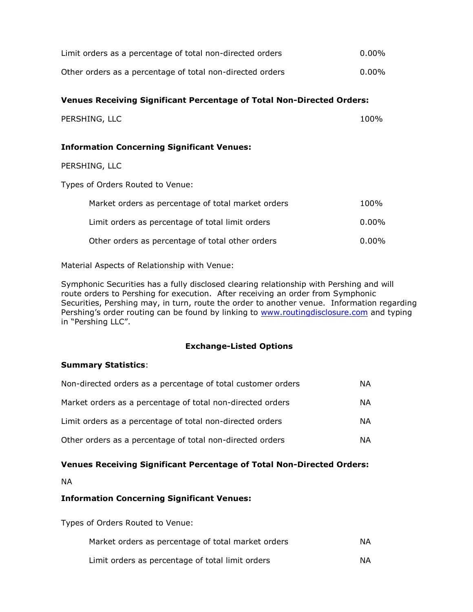| Limit orders as a percentage of total non-directed orders                    | $0.00\%$ |
|------------------------------------------------------------------------------|----------|
| Other orders as a percentage of total non-directed orders                    | $0.00\%$ |
| <b>Venues Receiving Significant Percentage of Total Non-Directed Orders:</b> |          |
| PERSHING, LLC                                                                | 100%     |
| <b>Information Concerning Significant Venues:</b>                            |          |
| PERSHING, LLC                                                                |          |
| Types of Orders Routed to Venue:                                             |          |
| Market orders as percentage of total market orders                           | 100%     |
| Limit orders as percentage of total limit orders                             | 0.00%    |
| Other orders as percentage of total other orders                             | $0.00\%$ |

Material Aspects of Relationship with Venue:

Symphonic Securities has a fully disclosed clearing relationship with Pershing and will route orders to Pershing for execution. After receiving an order from Symphonic Securities, Pershing may, in turn, route the order to another venue. Information regarding Pershing's order routing can be found by linking to **www.routingdisclosure.com** and typing in "Pershing LLC".

### Exchange-Listed Options

### Summary Statistics:

| Non-directed orders as a percentage of total customer orders | ΝA |
|--------------------------------------------------------------|----|
| Market orders as a percentage of total non-directed orders   | ΝA |
| Limit orders as a percentage of total non-directed orders    | ΝA |
| Other orders as a percentage of total non-directed orders    | ΝA |

# Venues Receiving Significant Percentage of Total Non-Directed Orders:

NA

# Information Concerning Significant Venues:

Types of Orders Routed to Venue:

| Market orders as percentage of total market orders | NA. |
|----------------------------------------------------|-----|
| Limit orders as percentage of total limit orders   | NA. |